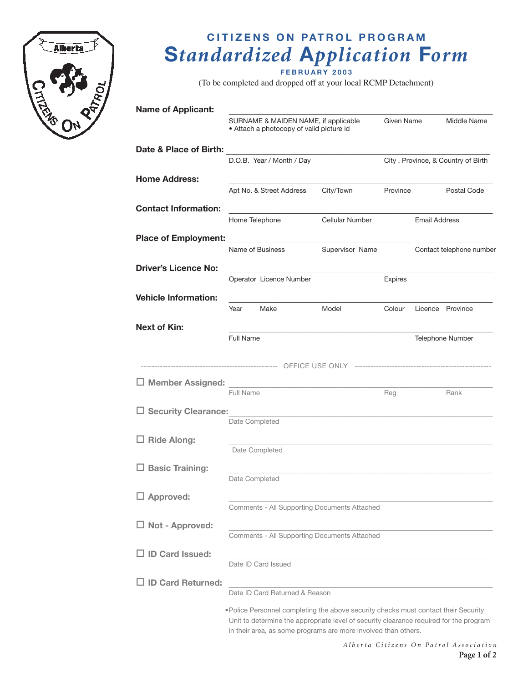

# **CITIZENS ON PATROL PROGRAM**  $Standardized Application Form$

**F E B R U A R Y 2 0 0 3**

(To be completed and dropped off at your local RCMP Detachment)

| <b>Name of Applicant:</b>                              |                                                                                                                                                                               |                 |                           |                      |                                        |
|--------------------------------------------------------|-------------------------------------------------------------------------------------------------------------------------------------------------------------------------------|-----------------|---------------------------|----------------------|----------------------------------------|
|                                                        | SURNAME & MAIDEN NAME, if applicable<br>• Attach a photocopy of valid picture id                                                                                              |                 | Given Name<br>Middle Name |                      |                                        |
| Date & Place of Birth:                                 |                                                                                                                                                                               |                 |                           |                      |                                        |
|                                                        | D.O.B. Year / Month / Day                                                                                                                                                     |                 |                           |                      | City, Province, & Country of Birth     |
| <b>Home Address:</b>                                   | Apt No. & Street Address                                                                                                                                                      | City/Town       | Province                  |                      | Postal Code                            |
| <b>Contact Information:</b>                            |                                                                                                                                                                               |                 |                           |                      |                                        |
|                                                        | Home Telephone                                                                                                                                                                | Cellular Number |                           | <b>Email Address</b> |                                        |
| <b>Place of Employment:</b>                            | <u> 1980 - Andrea Andrew Maria Barbara, poeta esp</u>                                                                                                                         |                 |                           |                      |                                        |
|                                                        | Name of Business                                                                                                                                                              | Supervisor Name |                           |                      | Contact telephone number               |
| <b>Driver's Licence No:</b>                            | Operator Licence Number                                                                                                                                                       |                 | Expires                   |                      |                                        |
| <b>Vehicle Information:</b>                            |                                                                                                                                                                               |                 |                           |                      |                                        |
|                                                        | Make<br>Year                                                                                                                                                                  | Model           | Colour                    |                      | Licence Province                       |
| <b>Next of Kin:</b>                                    |                                                                                                                                                                               |                 |                           |                      |                                        |
|                                                        | Full Name                                                                                                                                                                     |                 |                           |                      | <b>Telephone Number</b>                |
|                                                        |                                                                                                                                                                               |                 |                           |                      |                                        |
| □ Member Assigned: ___________________________________ |                                                                                                                                                                               |                 |                           |                      |                                        |
|                                                        | Full Name                                                                                                                                                                     |                 | Reg                       |                      | Rank                                   |
| $\Box$ Security Clearance:                             |                                                                                                                                                                               |                 |                           |                      |                                        |
|                                                        | Date Completed                                                                                                                                                                |                 |                           |                      |                                        |
| $\Box$ Ride Along:                                     | Date Completed                                                                                                                                                                |                 |                           |                      |                                        |
| <b>Basic Training:</b>                                 |                                                                                                                                                                               |                 |                           |                      |                                        |
|                                                        | Date Completed                                                                                                                                                                |                 |                           |                      |                                        |
| $\Box$ Approved:                                       |                                                                                                                                                                               |                 |                           |                      |                                        |
|                                                        | Comments - All Supporting Documents Attached                                                                                                                                  |                 |                           |                      |                                        |
| $\Box$ Not - Approved:                                 |                                                                                                                                                                               |                 |                           |                      |                                        |
|                                                        | Comments - All Supporting Documents Attached                                                                                                                                  |                 |                           |                      |                                        |
| $\Box$ ID Card Issued:                                 | Date ID Card Issued                                                                                                                                                           |                 |                           |                      |                                        |
| <b>ID Card Returned:</b>                               |                                                                                                                                                                               |                 |                           |                      |                                        |
|                                                        | Date ID Card Returned & Reason                                                                                                                                                |                 |                           |                      |                                        |
|                                                        | • Police Personnel completing the above security checks must contact their Security<br>Unit to determine the appropriate level of security clearance required for the program |                 |                           |                      |                                        |
|                                                        | in their area, as some programs are more involved than others.                                                                                                                |                 |                           |                      |                                        |
|                                                        |                                                                                                                                                                               |                 |                           |                      | Alberta Citizens On Patrol Association |